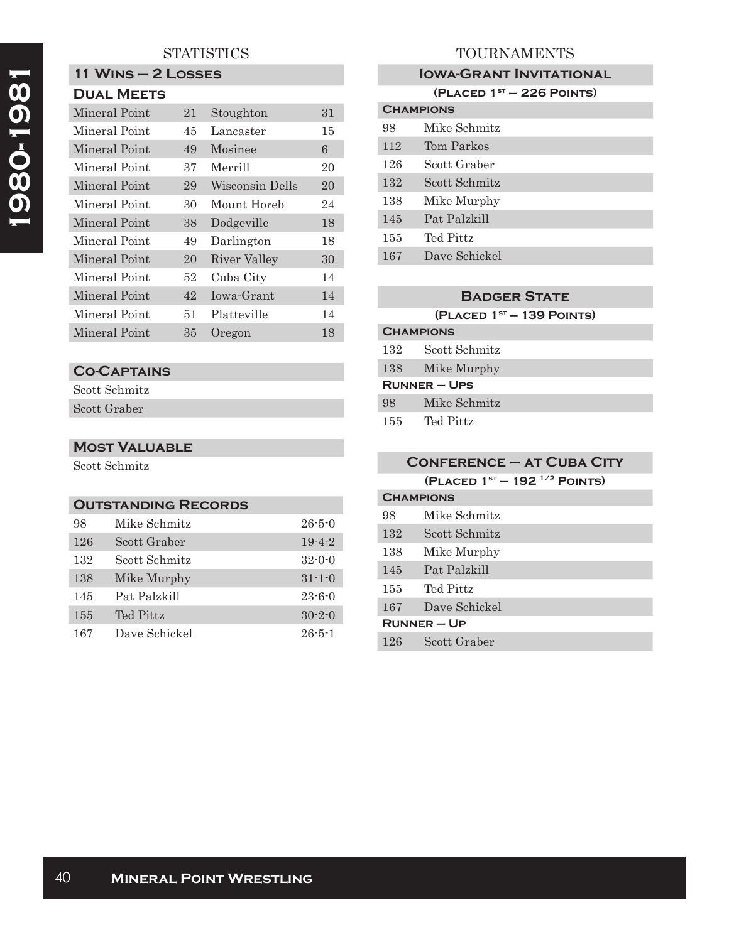# **STATISTICS**

# **11 Wins – 2 Losses**

| <b>DUAL MEETS</b> |  |
|-------------------|--|
|-------------------|--|

| <b>Mineral Point</b> | 21 | Stoughton       | 31 |
|----------------------|----|-----------------|----|
| Mineral Point        | 45 | Lancaster       | 15 |
| Mineral Point        | 49 | Mosinee         | 6  |
| Mineral Point        | 37 | Merrill         | 20 |
| Mineral Point        | 29 | Wisconsin Dells | 20 |
| Mineral Point        | 30 | Mount Horeb     | 24 |
| Mineral Point        | 38 | Dodgeville      | 18 |
| Mineral Point        | 49 | Darlington      | 18 |
| Mineral Point        | 20 | River Valley    | 30 |
| Mineral Point        | 52 | Cuba City       | 14 |
| Mineral Point        | 42 | Iowa-Grant      | 14 |
| Mineral Point        | 51 | Platteville     | 14 |
| Mineral Point        | 35 | Oregon          | 18 |

### **Co-Captains**

Scott Schmitz Scott Graber

#### **Most Valuable**

Scott Schmitz

## **Outstanding Records**

| 98  | Mike Schmitz  | $26 - 5 - 0$ |
|-----|---------------|--------------|
| 126 | Scott Graber  | $19 - 4 - 2$ |
| 132 | Scott Schmitz | $32 - 0 - 0$ |
| 138 | Mike Murphy   | $31 - 1 - 0$ |
| 145 | Pat Palzkill  | $23 - 6 - 0$ |
| 155 | Ted Pittz     | $30 - 2 - 0$ |
| 167 | Dave Schickel | $26 - 5 - 1$ |

# TOURNAMENTS

#### **IOWA-GRANT INVITATIONAL**

**(Placed 1st – 226 Points)**

| <b>CHAMPIONS</b> |               |  |
|------------------|---------------|--|
| 98               | Mike Schmitz  |  |
| 112              | Tom Parkos    |  |
| 126              | Scott Graber  |  |
| 132              | Scott Schmitz |  |
| 138              | Mike Murphy   |  |
| 145              | Pat Palzkill  |  |
| 155              | Ted Pittz     |  |
| 167              | Dave Schickel |  |
|                  |               |  |

#### **Badger State**

**(Placed 1st — 139 Points)**

## **Champions** 132 Scott Schmitz 138 Mike Murphy **Runner – Ups**

| Mike Schmitz<br>98 |
|--------------------|
|--------------------|

155 Ted Pittz

| <b>CONFERENCE - AT CUBA CITY</b> |                                         |  |
|----------------------------------|-----------------------------------------|--|
|                                  | (PLACED $1^{st}$ – 192 $^{1/2}$ POINTS) |  |
| <b>CHAMPIONS</b>                 |                                         |  |
| 98                               | Mike Schmitz                            |  |
| 132                              | Scott Schmitz                           |  |
| 138                              | Mike Murphy                             |  |
| 145                              | Pat Palzkill                            |  |
| 155                              | Ted Pittz                               |  |
| 167                              | Dave Schickel                           |  |
| $R$ UNNER – UP                   |                                         |  |
| 126                              | Scott Graber                            |  |